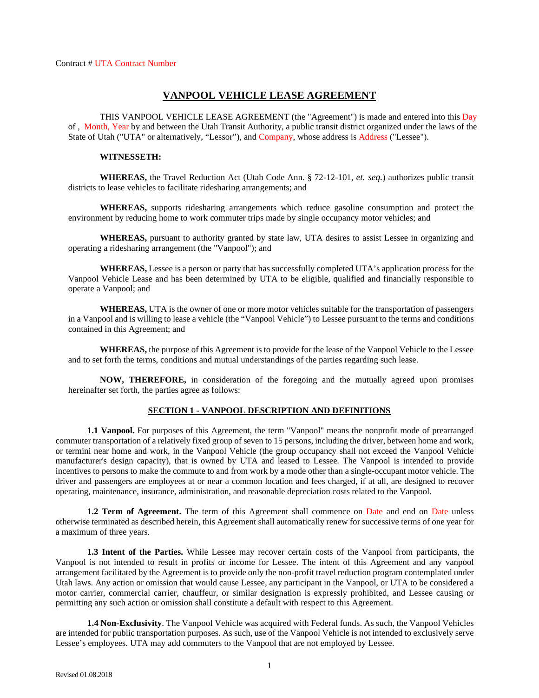## **VANPOOL VEHICLE LEASE AGREEMENT**

THIS VANPOOL VEHICLE LEASE AGREEMENT (the "Agreement") is made and entered into this Day of , Month, Year by and between the Utah Transit Authority, a public transit district organized under the laws of the State of Utah ("UTA" or alternatively, "Lessor"), and Company, whose address is Address ("Lessee").

#### **WITNESSETH:**

**WHEREAS,** the Travel Reduction Act (Utah Code Ann. § 72-12-101, *et. seq.*) authorizes public transit districts to lease vehicles to facilitate ridesharing arrangements; and

**WHEREAS,** supports ridesharing arrangements which reduce gasoline consumption and protect the environment by reducing home to work commuter trips made by single occupancy motor vehicles; and

**WHEREAS,** pursuant to authority granted by state law, UTA desires to assist Lessee in organizing and operating a ridesharing arrangement (the "Vanpool"); and

**WHEREAS,** Lessee is a person or party that has successfully completed UTA's application process for the Vanpool Vehicle Lease and has been determined by UTA to be eligible, qualified and financially responsible to operate a Vanpool; and

**WHEREAS,** UTA is the owner of one or more motor vehicles suitable for the transportation of passengers in a Vanpool and is willing to lease a vehicle (the "Vanpool Vehicle") to Lessee pursuant to the terms and conditions contained in this Agreement; and

**WHEREAS,** the purpose of this Agreement is to provide for the lease of the Vanpool Vehicle to the Lessee and to set forth the terms, conditions and mutual understandings of the parties regarding such lease.

**NOW, THEREFORE,** in consideration of the foregoing and the mutually agreed upon promises hereinafter set forth, the parties agree as follows:

#### **SECTION 1 - VANPOOL DESCRIPTION AND DEFINITIONS**

**1.1 Vanpool.** For purposes of this Agreement, the term "Vanpool" means the nonprofit mode of prearranged commuter transportation of a relatively fixed group of seven to 15 persons, including the driver, between home and work, or termini near home and work, in the Vanpool Vehicle (the group occupancy shall not exceed the Vanpool Vehicle manufacturer's design capacity), that is owned by UTA and leased to Lessee. The Vanpool is intended to provide incentives to persons to make the commute to and from work by a mode other than a single-occupant motor vehicle. The driver and passengers are employees at or near a common location and fees charged, if at all, are designed to recover operating, maintenance, insurance, administration, and reasonable depreciation costs related to the Vanpool.

**1.2 Term of Agreement.** The term of this Agreement shall commence on Date and end on Date unless otherwise terminated as described herein, this Agreement shall automatically renew for successive terms of one year for a maximum of three years.

**1.3 Intent of the Parties.** While Lessee may recover certain costs of the Vanpool from participants, the Vanpool is not intended to result in profits or income for Lessee. The intent of this Agreement and any vanpool arrangement facilitated by the Agreement is to provide only the non-profit travel reduction program contemplated under Utah laws. Any action or omission that would cause Lessee, any participant in the Vanpool, or UTA to be considered a motor carrier, commercial carrier, chauffeur, or similar designation is expressly prohibited, and Lessee causing or permitting any such action or omission shall constitute a default with respect to this Agreement.

**1.4 Non-Exclusivity**. The Vanpool Vehicle was acquired with Federal funds. As such, the Vanpool Vehicles are intended for public transportation purposes. As such, use of the Vanpool Vehicle is not intended to exclusively serve Lessee's employees. UTA may add commuters to the Vanpool that are not employed by Lessee.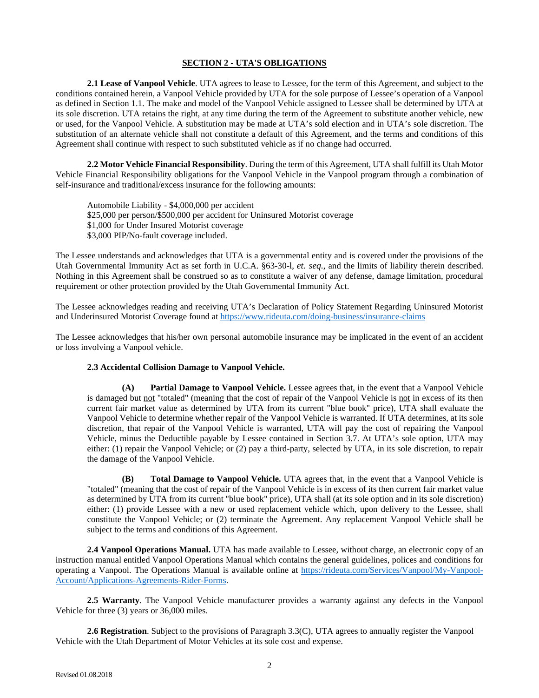### **SECTION 2 - UTA'S OBLIGATIONS**

**2.1 Lease of Vanpool Vehicle**. UTA agrees to lease to Lessee, for the term of this Agreement, and subject to the conditions contained herein, a Vanpool Vehicle provided by UTA for the sole purpose of Lessee's operation of a Vanpool as defined in Section 1.1. The make and model of the Vanpool Vehicle assigned to Lessee shall be determined by UTA at its sole discretion. UTA retains the right, at any time during the term of the Agreement to substitute another vehicle, new or used, for the Vanpool Vehicle. A substitution may be made at UTA's sold election and in UTA's sole discretion. The substitution of an alternate vehicle shall not constitute a default of this Agreement, and the terms and conditions of this Agreement shall continue with respect to such substituted vehicle as if no change had occurred.

**2.2 Motor Vehicle Financial Responsibility**. During the term of this Agreement, UTA shall fulfill its Utah Motor Vehicle Financial Responsibility obligations for the Vanpool Vehicle in the Vanpool program through a combination of self-insurance and traditional/excess insurance for the following amounts:

Automobile Liability - \$4,000,000 per accident \$25,000 per person/\$500,000 per accident for Uninsured Motorist coverage \$1,000 for Under Insured Motorist coverage \$3,000 PIP/No-fault coverage included.

The Lessee understands and acknowledges that UTA is a governmental entity and is covered under the provisions of the Utah Governmental Immunity Act as set forth in U.C.A. §63-30-l, *et. seq.*, and the limits of liability therein described. Nothing in this Agreement shall be construed so as to constitute a waiver of any defense, damage limitation, procedural requirement or other protection provided by the Utah Governmental Immunity Act.

The Lessee acknowledges reading and receiving UTA's Declaration of Policy Statement Regarding Uninsured Motorist and Underinsured Motorist Coverage found at<https://www.rideuta.com/doing-business/insurance-claims>

The Lessee acknowledges that his/her own personal automobile insurance may be implicated in the event of an accident or loss involving a Vanpool vehicle.

#### **2.3 Accidental Collision Damage to Vanpool Vehicle.**

**(A) Partial Damage to Vanpool Vehicle.** Lessee agrees that, in the event that a Vanpool Vehicle is damaged but not "totaled" (meaning that the cost of repair of the Vanpool Vehicle is not in excess of its then current fair market value as determined by UTA from its current "blue book" price), UTA shall evaluate the Vanpool Vehicle to determine whether repair of the Vanpool Vehicle is warranted. If UTA determines, at its sole discretion, that repair of the Vanpool Vehicle is warranted, UTA will pay the cost of repairing the Vanpool Vehicle, minus the Deductible payable by Lessee contained in Section 3.7. At UTA's sole option, UTA may either: (1) repair the Vanpool Vehicle; or (2) pay a third-party, selected by UTA, in its sole discretion, to repair the damage of the Vanpool Vehicle.

**(B) Total Damage to Vanpool Vehicle.** UTA agrees that, in the event that a Vanpool Vehicle is "totaled" (meaning that the cost of repair of the Vanpool Vehicle is in excess of its then current fair market value as determined by UTA from its current "blue book" price), UTA shall (at its sole option and in its sole discretion) either: (1) provide Lessee with a new or used replacement vehicle which, upon delivery to the Lessee, shall constitute the Vanpool Vehicle; or (2) terminate the Agreement. Any replacement Vanpool Vehicle shall be subject to the terms and conditions of this Agreement.

**2.4 Vanpool Operations Manual.** UTA has made available to Lessee, without charge, an electronic copy of an instruction manual entitled Vanpool Operations Manual which contains the general guidelines, polices and conditions for operating a Vanpool. The Operations Manual is available online at [https://rideuta.com/Services/Vanpool/My-Vanpool-](https://rideuta.com/Services/Vanpool/My-Vanpool-Account/Applications-Agreements-Rider-Forms)[Account/Applications-Agreements-Rider-Forms.](https://rideuta.com/Services/Vanpool/My-Vanpool-Account/Applications-Agreements-Rider-Forms)

**2.5 Warranty**. The Vanpool Vehicle manufacturer provides a warranty against any defects in the Vanpool Vehicle for three (3) years or 36,000 miles.

**2.6 Registration**. Subject to the provisions of Paragraph 3.3(C), UTA agrees to annually register the Vanpool Vehicle with the Utah Department of Motor Vehicles at its sole cost and expense.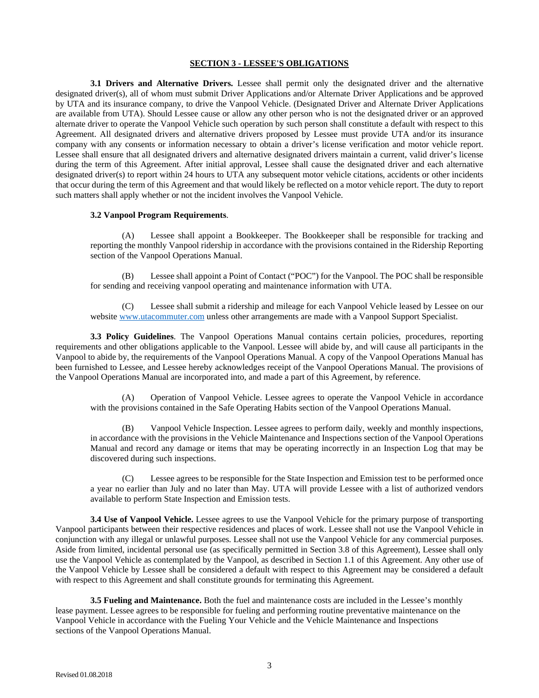### **SECTION 3 - LESSEE'S OBLIGATIONS**

**3.1 Drivers and Alternative Drivers.** Lessee shall permit only the designated driver and the alternative designated driver(s), all of whom must submit Driver Applications and/or Alternate Driver Applications and be approved by UTA and its insurance company, to drive the Vanpool Vehicle. (Designated Driver and Alternate Driver Applications are available from UTA). Should Lessee cause or allow any other person who is not the designated driver or an approved alternate driver to operate the Vanpool Vehicle such operation by such person shall constitute a default with respect to this Agreement. All designated drivers and alternative drivers proposed by Lessee must provide UTA and/or its insurance company with any consents or information necessary to obtain a driver's license verification and motor vehicle report. Lessee shall ensure that all designated drivers and alternative designated drivers maintain a current, valid driver's license during the term of this Agreement. After initial approval, Lessee shall cause the designated driver and each alternative designated driver(s) to report within 24 hours to UTA any subsequent motor vehicle citations, accidents or other incidents that occur during the term of this Agreement and that would likely be reflected on a motor vehicle report. The duty to report such matters shall apply whether or not the incident involves the Vanpool Vehicle.

#### **3.2 Vanpool Program Requirements**.

(A) Lessee shall appoint a Bookkeeper. The Bookkeeper shall be responsible for tracking and reporting the monthly Vanpool ridership in accordance with the provisions contained in the Ridership Reporting section of the Vanpool Operations Manual.

(B) Lessee shall appoint a Point of Contact ("POC") for the Vanpool. The POC shall be responsible for sending and receiving vanpool operating and maintenance information with UTA.

(C) Lessee shall submit a ridership and mileage for each Vanpool Vehicle leased by Lessee on our website [www.utacommuter.com](http://www.utacommuter.com/) unless other arrangements are made with a Vanpool Support Specialist.

**3.3 Policy Guidelines**. The Vanpool Operations Manual contains certain policies, procedures, reporting requirements and other obligations applicable to the Vanpool. Lessee will abide by, and will cause all participants in the Vanpool to abide by, the requirements of the Vanpool Operations Manual. A copy of the Vanpool Operations Manual has been furnished to Lessee, and Lessee hereby acknowledges receipt of the Vanpool Operations Manual. The provisions of the Vanpool Operations Manual are incorporated into, and made a part of this Agreement, by reference.

(A) Operation of Vanpool Vehicle. Lessee agrees to operate the Vanpool Vehicle in accordance with the provisions contained in the Safe Operating Habits section of the Vanpool Operations Manual.

(B) Vanpool Vehicle Inspection. Lessee agrees to perform daily, weekly and monthly inspections, in accordance with the provisions in the Vehicle Maintenance and Inspections section of the Vanpool Operations Manual and record any damage or items that may be operating incorrectly in an Inspection Log that may be discovered during such inspections.

(C) Lessee agrees to be responsible for the State Inspection and Emission test to be performed once a year no earlier than July and no later than May. UTA will provide Lessee with a list of authorized vendors available to perform State Inspection and Emission tests.

**3.4 Use of Vanpool Vehicle.** Lessee agrees to use the Vanpool Vehicle for the primary purpose of transporting Vanpool participants between their respective residences and places of work. Lessee shall not use the Vanpool Vehicle in conjunction with any illegal or unlawful purposes. Lessee shall not use the Vanpool Vehicle for any commercial purposes. Aside from limited, incidental personal use (as specifically permitted in Section 3.8 of this Agreement), Lessee shall only use the Vanpool Vehicle as contemplated by the Vanpool, as described in Section 1.1 of this Agreement. Any other use of the Vanpool Vehicle by Lessee shall be considered a default with respect to this Agreement may be considered a default with respect to this Agreement and shall constitute grounds for terminating this Agreement.

**3.5 Fueling and Maintenance.** Both the fuel and maintenance costs are included in the Lessee's monthly lease payment. Lessee agrees to be responsible for fueling and performing routine preventative maintenance on the Vanpool Vehicle in accordance with the Fueling Your Vehicle and the Vehicle Maintenance and Inspections sections of the Vanpool Operations Manual.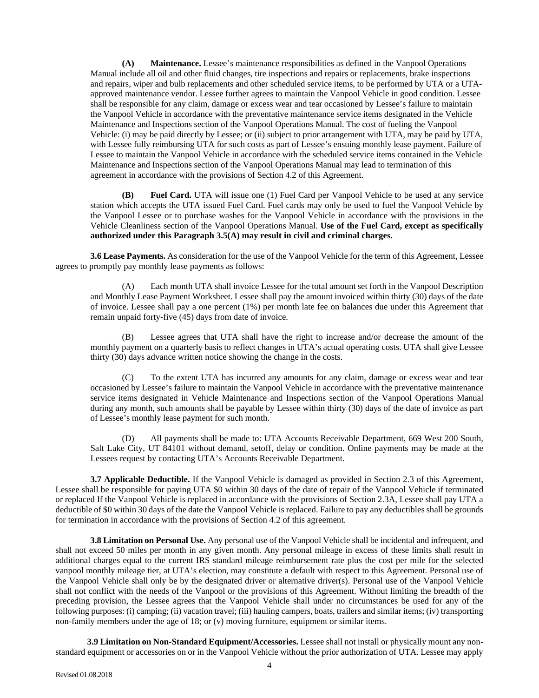**(A) Maintenance.** Lessee's maintenance responsibilities as defined in the Vanpool Operations Manual include all oil and other fluid changes, tire inspections and repairs or replacements, brake inspections and repairs, wiper and bulb replacements and other scheduled service items, to be performed by UTA or a UTAapproved maintenance vendor. Lessee further agrees to maintain the Vanpool Vehicle in good condition. Lessee shall be responsible for any claim, damage or excess wear and tear occasioned by Lessee's failure to maintain the Vanpool Vehicle in accordance with the preventative maintenance service items designated in the Vehicle Maintenance and Inspections section of the Vanpool Operations Manual. The cost of fueling the Vanpool Vehicle: (i) may be paid directly by Lessee; or (ii) subject to prior arrangement with UTA, may be paid by UTA, with Lessee fully reimbursing UTA for such costs as part of Lessee's ensuing monthly lease payment. Failure of Lessee to maintain the Vanpool Vehicle in accordance with the scheduled service items contained in the Vehicle Maintenance and Inspections section of the Vanpool Operations Manual may lead to termination of this agreement in accordance with the provisions of Section 4.2 of this Agreement.

**(B) Fuel Card.** UTA will issue one (1) Fuel Card per Vanpool Vehicle to be used at any service station which accepts the UTA issued Fuel Card. Fuel cards may only be used to fuel the Vanpool Vehicle by the Vanpool Lessee or to purchase washes for the Vanpool Vehicle in accordance with the provisions in the Vehicle Cleanliness section of the Vanpool Operations Manual. **Use of the Fuel Card, except as specifically authorized under this Paragraph 3.5(A) may result in civil and criminal charges.**

**3.6 Lease Payments.** As consideration for the use of the Vanpool Vehicle for the term of this Agreement, Lessee agrees to promptly pay monthly lease payments as follows:

(A) Each month UTA shall invoice Lessee for the total amount set forth in the Vanpool Description and Monthly Lease Payment Worksheet. Lessee shall pay the amount invoiced within thirty (30) days of the date of invoice. Lessee shall pay a one percent (1%) per month late fee on balances due under this Agreement that remain unpaid forty-five (45) days from date of invoice.

(B) Lessee agrees that UTA shall have the right to increase and/or decrease the amount of the monthly payment on a quarterly basis to reflect changes in UTA's actual operating costs. UTA shall give Lessee thirty (30) days advance written notice showing the change in the costs.

(C) To the extent UTA has incurred any amounts for any claim, damage or excess wear and tear occasioned by Lessee's failure to maintain the Vanpool Vehicle in accordance with the preventative maintenance service items designated in Vehicle Maintenance and Inspections section of the Vanpool Operations Manual during any month, such amounts shall be payable by Lessee within thirty (30) days of the date of invoice as part of Lessee's monthly lease payment for such month.

(D) All payments shall be made to: UTA Accounts Receivable Department, 669 West 200 South, Salt Lake City, UT 84101 without demand, setoff, delay or condition. Online payments may be made at the Lessees request by contacting UTA's Accounts Receivable Department.

**3.7 Applicable Deductible.** If the Vanpool Vehicle is damaged as provided in Section 2.3 of this Agreement, Lessee shall be responsible for paying UTA \$0 within 30 days of the date of repair of the Vanpool Vehicle if terminated or replaced If the Vanpool Vehicle is replaced in accordance with the provisions of Section 2.3A, Lessee shall pay UTA a deductible of \$0 within 30 days of the date the Vanpool Vehicle is replaced. Failure to pay any deductibles shall be grounds for termination in accordance with the provisions of Section 4.2 of this agreement.

**3.8 Limitation on Personal Use.** Any personal use of the Vanpool Vehicle shall be incidental and infrequent, and shall not exceed 50 miles per month in any given month. Any personal mileage in excess of these limits shall result in additional charges equal to the current IRS standard mileage reimbursement rate plus the cost per mile for the selected vanpool monthly mileage tier, at UTA's election, may constitute a default with respect to this Agreement. Personal use of the Vanpool Vehicle shall only be by the designated driver or alternative driver(s). Personal use of the Vanpool Vehicle shall not conflict with the needs of the Vanpool or the provisions of this Agreement. Without limiting the breadth of the preceding provision, the Lessee agrees that the Vanpool Vehicle shall under no circumstances be used for any of the following purposes: (i) camping; (ii) vacation travel; (iii) hauling campers, boats, trailers and similar items; (iv) transporting non-family members under the age of 18; or (v) moving furniture, equipment or similar items.

**3.9 Limitation on Non-Standard Equipment/Accessories.** Lessee shall not install or physically mount any nonstandard equipment or accessories on or in the Vanpool Vehicle without the prior authorization of UTA. Lessee may apply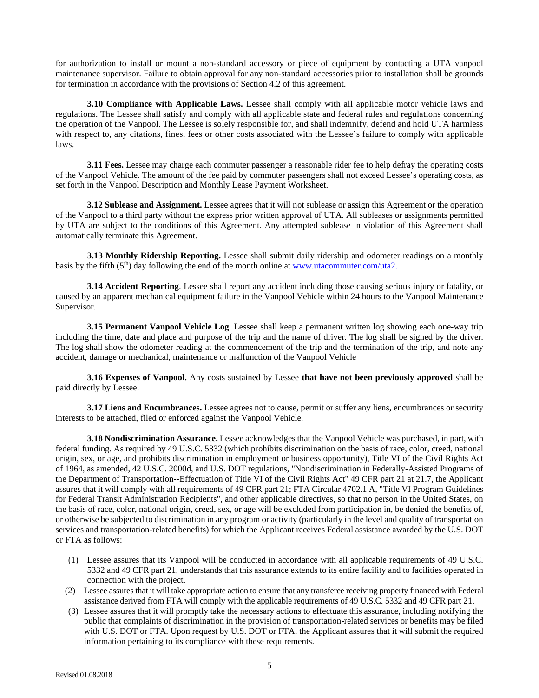for authorization to install or mount a non-standard accessory or piece of equipment by contacting a UTA vanpool maintenance supervisor. Failure to obtain approval for any non-standard accessories prior to installation shall be grounds for termination in accordance with the provisions of Section 4.2 of this agreement.

**3.10 Compliance with Applicable Laws.** Lessee shall comply with all applicable motor vehicle laws and regulations. The Lessee shall satisfy and comply with all applicable state and federal rules and regulations concerning the operation of the Vanpool. The Lessee is solely responsible for, and shall indemnify, defend and hold UTA harmless with respect to, any citations, fines, fees or other costs associated with the Lessee's failure to comply with applicable laws.

**3.11 Fees.** Lessee may charge each commuter passenger a reasonable rider fee to help defray the operating costs of the Vanpool Vehicle. The amount of the fee paid by commuter passengers shall not exceed Lessee's operating costs, as set forth in the Vanpool Description and Monthly Lease Payment Worksheet.

**3.12 Sublease and Assignment.** Lessee agrees that it will not sublease or assign this Agreement or the operation of the Vanpool to a third party without the express prior written approval of UTA. All subleases or assignments permitted by UTA are subject to the conditions of this Agreement. Any attempted sublease in violation of this Agreement shall automatically terminate this Agreement.

**3.13 Monthly Ridership Reporting.** Lessee shall submit daily ridership and odometer readings on a monthly basis by the fifth (5th) day following the end of the month online a[t www.utacommuter.com/uta2.](http://www.utacommuter.com/uta2.)

**3.14 Accident Reporting**. Lessee shall report any accident including those causing serious injury or fatality, or caused by an apparent mechanical equipment failure in the Vanpool Vehicle within 24 hours to the Vanpool Maintenance Supervisor.

**3.15 Permanent Vanpool Vehicle Log**. Lessee shall keep a permanent written log showing each one-way trip including the time, date and place and purpose of the trip and the name of driver. The log shall be signed by the driver. The log shall show the odometer reading at the commencement of the trip and the termination of the trip, and note any accident, damage or mechanical, maintenance or malfunction of the Vanpool Vehicle

**3.16 Expenses of Vanpool.** Any costs sustained by Lessee **that have not been previously approved** shall be paid directly by Lessee.

**3.17 Liens and Encumbrances.** Lessee agrees not to cause, permit or suffer any liens, encumbrances or security interests to be attached, filed or enforced against the Vanpool Vehicle.

**3.18 Nondiscrimination Assurance.** Lessee acknowledges that the Vanpool Vehicle was purchased, in part, with federal funding. As required by 49 U.S.C. 5332 (which prohibits discrimination on the basis of race, color, creed, national origin, sex, or age, and prohibits discrimination in employment or business opportunity), Title VI of the Civil Rights Act of 1964, as amended, 42 U.S.C. 2000d, and U.S. DOT regulations, "Nondiscrimination in Federally-Assisted Programs of the Department of Transportation--Effectuation of Title VI of the Civil Rights Act" 49 CFR part 21 at 21.7, the Applicant assures that it will comply with all requirements of 49 CFR part 21; FTA Circular 4702.1 A, "Title VI Program Guidelines for Federal Transit Administration Recipients", and other applicable directives, so that no person in the United States, on the basis of race, color, national origin, creed, sex, or age will be excluded from participation in, be denied the benefits of, or otherwise be subjected to discrimination in any program or activity (particularly in the level and quality of transportation services and transportation-related benefits) for which the Applicant receives Federal assistance awarded by the U.S. DOT or FTA as follows:

- (1) Lessee assures that its Vanpool will be conducted in accordance with all applicable requirements of 49 U.S.C. 5332 and 49 CFR part 21, understands that this assurance extends to its entire facility and to facilities operated in connection with the project.
- (2) Lessee assures that it will take appropriate action to ensure that any transferee receiving property financed with Federal assistance derived from FTA will comply with the applicable requirements of 49 U.S.C. 5332 and 49 CFR part 21.
- (3) Lessee assures that it will promptly take the necessary actions to effectuate this assurance, including notifying the public that complaints of discrimination in the provision of transportation-related services or benefits may be filed with U.S. DOT or FTA. Upon request by U.S. DOT or FTA, the Applicant assures that it will submit the required information pertaining to its compliance with these requirements.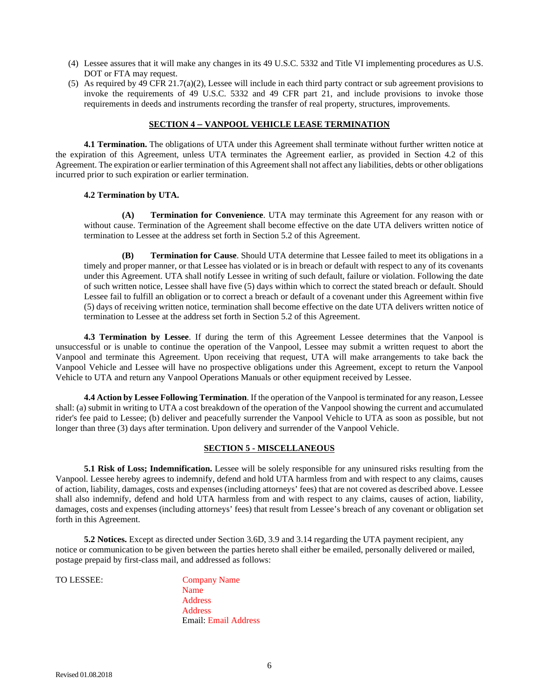- (4) Lessee assures that it will make any changes in its 49 U.S.C. 5332 and Title VI implementing procedures as U.S. DOT or FTA may request.
- (5) As required by 49 CFR 21.7(a)(2), Lessee will include in each third party contract or sub agreement provisions to invoke the requirements of 49 U.S.C. 5332 and 49 CFR part 21, and include provisions to invoke those requirements in deeds and instruments recording the transfer of real property, structures, improvements.

### **SECTION 4 – VANPOOL VEHICLE LEASE TERMINATION**

**4.1 Termination.** The obligations of UTA under this Agreement shall terminate without further written notice at the expiration of this Agreement, unless UTA terminates the Agreement earlier, as provided in Section 4.2 of this Agreement. The expiration or earlier termination of this Agreement shall not affect any liabilities, debts or other obligations incurred prior to such expiration or earlier termination.

#### **4.2 Termination by UTA.**

**(A) Termination for Convenience**. UTA may terminate this Agreement for any reason with or without cause. Termination of the Agreement shall become effective on the date UTA delivers written notice of termination to Lessee at the address set forth in Section 5.2 of this Agreement.

**(B) Termination for Cause**. Should UTA determine that Lessee failed to meet its obligations in a timely and proper manner, or that Lessee has violated or is in breach or default with respect to any of its covenants under this Agreement. UTA shall notify Lessee in writing of such default, failure or violation. Following the date of such written notice, Lessee shall have five (5) days within which to correct the stated breach or default. Should Lessee fail to fulfill an obligation or to correct a breach or default of a covenant under this Agreement within five (5) days of receiving written notice, termination shall become effective on the date UTA delivers written notice of termination to Lessee at the address set forth in Section 5.2 of this Agreement.

**4.3 Termination by Lessee**. If during the term of this Agreement Lessee determines that the Vanpool is unsuccessful or is unable to continue the operation of the Vanpool, Lessee may submit a written request to abort the Vanpool and terminate this Agreement. Upon receiving that request, UTA will make arrangements to take back the Vanpool Vehicle and Lessee will have no prospective obligations under this Agreement, except to return the Vanpool Vehicle to UTA and return any Vanpool Operations Manuals or other equipment received by Lessee.

**4.4 Action by Lessee Following Termination**. If the operation of the Vanpool is terminated for any reason, Lessee shall: (a) submit in writing to UTA a cost breakdown of the operation of the Vanpool showing the current and accumulated rider's fee paid to Lessee; (b) deliver and peacefully surrender the Vanpool Vehicle to UTA as soon as possible, but not longer than three (3) days after termination. Upon delivery and surrender of the Vanpool Vehicle.

## **SECTION 5 - MISCELLANEOUS**

**5.1 Risk of Loss; Indemnification.** Lessee will be solely responsible for any uninsured risks resulting from the Vanpool. Lessee hereby agrees to indemnify, defend and hold UTA harmless from and with respect to any claims, causes of action, liability, damages, costs and expenses (including attorneys' fees) that are not covered as described above. Lessee shall also indemnify, defend and hold UTA harmless from and with respect to any claims, causes of action, liability, damages, costs and expenses (including attorneys' fees) that result from Lessee's breach of any covenant or obligation set forth in this Agreement.

**5.2 Notices.** Except as directed under Section 3.6D, 3.9 and 3.14 regarding the UTA payment recipient, any notice or communication to be given between the parties hereto shall either be emailed, personally delivered or mailed, postage prepaid by first-class mail, and addressed as follows:

TO LESSEE: Company Name Name Address Address Email: Email Address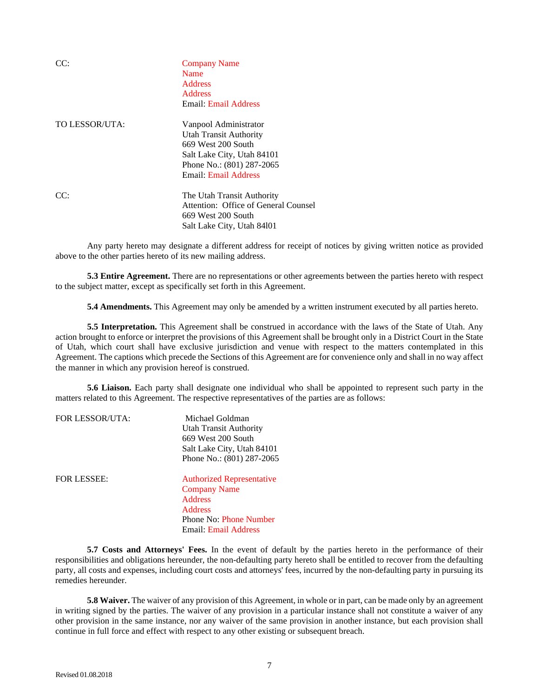|                | <b>Company Name</b><br>Name<br><b>Address</b><br><b>Address</b><br>Email: Email Address                                                                                |
|----------------|------------------------------------------------------------------------------------------------------------------------------------------------------------------------|
| TO LESSOR/UTA: | Vanpool Administrator<br><b>Utah Transit Authority</b><br>669 West 200 South<br>Salt Lake City, Utah 84101<br>Phone No.: (801) 287-2065<br><b>Email: Email Address</b> |
| CC.            | The Utah Transit Authority<br>Attention: Office of General Counsel<br>669 West 200 South<br>Salt Lake City, Utah 84101                                                 |

Any party hereto may designate a different address for receipt of notices by giving written notice as provided above to the other parties hereto of its new mailing address.

**5.3 Entire Agreement.** There are no representations or other agreements between the parties hereto with respect to the subject matter, except as specifically set forth in this Agreement.

**5.4 Amendments.** This Agreement may only be amended by a written instrument executed by all parties hereto.

**5.5 Interpretation.** This Agreement shall be construed in accordance with the laws of the State of Utah. Any action brought to enforce or interpret the provisions of this Agreement shall be brought only in a District Court in the State of Utah, which court shall have exclusive jurisdiction and venue with respect to the matters contemplated in this Agreement. The captions which precede the Sections of this Agreement are for convenience only and shall in no way affect the manner in which any provision hereof is construed.

**5.6 Liaison.** Each party shall designate one individual who shall be appointed to represent such party in the matters related to this Agreement. The respective representatives of the parties are as follows:

| <b>FOR LESSOR/UTA:</b> | Michael Goldman<br>Utah Transit Authority<br>669 West 200 South<br>Salt Lake City, Utah 84101             |
|------------------------|-----------------------------------------------------------------------------------------------------------|
| <b>FOR LESSEE:</b>     | Phone No.: (801) 287-2065<br><b>Authorized Representative</b>                                             |
|                        | <b>Company Name</b><br><b>Address</b><br>Address<br>Phone No: Phone Number<br><b>Email: Email Address</b> |

**5.7 Costs and Attorneys' Fees.** In the event of default by the parties hereto in the performance of their responsibilities and obligations hereunder, the non-defaulting party hereto shall be entitled to recover from the defaulting party, all costs and expenses, including court costs and attorneys' fees, incurred by the non-defaulting party in pursuing its remedies hereunder.

**5.8 Waiver.** The waiver of any provision of this Agreement, in whole or in part, can be made only by an agreement in writing signed by the parties. The waiver of any provision in a particular instance shall not constitute a waiver of any other provision in the same instance, nor any waiver of the same provision in another instance, but each provision shall continue in full force and effect with respect to any other existing or subsequent breach.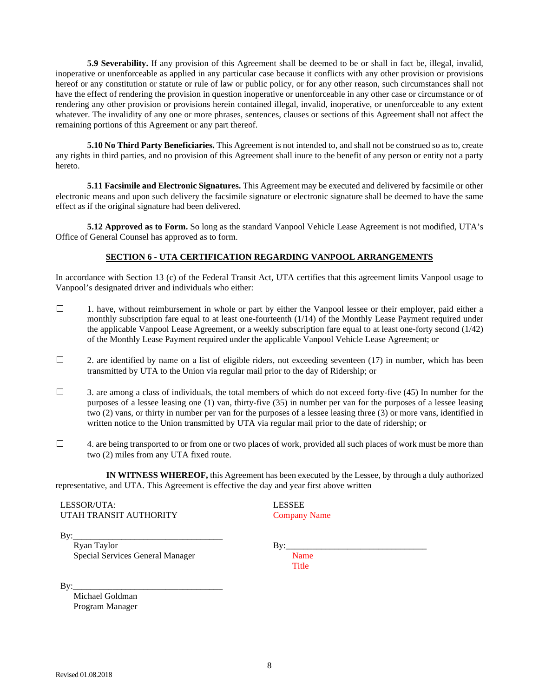**5.9 Severability.** If any provision of this Agreement shall be deemed to be or shall in fact be, illegal, invalid, inoperative or unenforceable as applied in any particular case because it conflicts with any other provision or provisions hereof or any constitution or statute or rule of law or public policy, or for any other reason, such circumstances shall not have the effect of rendering the provision in question inoperative or unenforceable in any other case or circumstance or of rendering any other provision or provisions herein contained illegal, invalid, inoperative, or unenforceable to any extent whatever. The invalidity of any one or more phrases, sentences, clauses or sections of this Agreement shall not affect the remaining portions of this Agreement or any part thereof.

**5.10 No Third Party Beneficiaries.** This Agreement is not intended to, and shall not be construed so as to, create any rights in third parties, and no provision of this Agreement shall inure to the benefit of any person or entity not a party hereto.

**5.11 Facsimile and Electronic Signatures.** This Agreement may be executed and delivered by facsimile or other electronic means and upon such delivery the facsimile signature or electronic signature shall be deemed to have the same effect as if the original signature had been delivered.

**5.12 Approved as to Form.** So long as the standard Vanpool Vehicle Lease Agreement is not modified, UTA's Office of General Counsel has approved as to form.

# **SECTION 6 - UTA CERTIFICATION REGARDING VANPOOL ARRANGEMENTS**

In accordance with Section 13 (c) of the Federal Transit Act, UTA certifies that this agreement limits Vanpool usage to Vanpool's designated driver and individuals who either:

- $\Box$  1. have, without reimbursement in whole or part by either the Vanpool lessee or their employer, paid either a monthly subscription fare equal to at least one-fourteenth (1/14) of the Monthly Lease Payment required under the applicable Vanpool Lease Agreement, or a weekly subscription fare equal to at least one-forty second (1/42) of the Monthly Lease Payment required under the applicable Vanpool Vehicle Lease Agreement; or
- $\Box$  2. are identified by name on a list of eligible riders, not exceeding seventeen (17) in number, which has been transmitted by UTA to the Union via regular mail prior to the day of Ridership; or
- $\Box$  3. are among a class of individuals, the total members of which do not exceed forty-five (45) In number for the purposes of a lessee leasing one (1) van, thirty-five (35) in number per van for the purposes of a lessee leasing two (2) vans, or thirty in number per van for the purposes of a lessee leasing three (3) or more vans, identified in written notice to the Union transmitted by UTA via regular mail prior to the date of ridership; or
- $\Box$  4. are being transported to or from one or two places of work, provided all such places of work must be more than two (2) miles from any UTA fixed route.

**IN WITNESS WHEREOF,** this Agreement has been executed by the Lessee, by through a duly authorized representative, and UTA. This Agreement is effective the day and year first above written

LESSOR/UTA: UTAH TRANSIT AUTHORITY LESSEE Company Name

By:\_\_\_\_\_\_\_\_\_\_\_\_\_\_\_\_\_\_\_\_\_\_\_\_\_\_\_\_\_\_\_\_\_\_

 Ryan Taylor Special Services General Manager By:\_\_\_\_\_\_\_\_\_\_\_\_\_\_\_\_\_\_\_\_\_\_\_\_\_\_\_\_\_\_\_\_

Name **Title** 

By:\_\_\_\_\_\_\_\_\_\_\_\_\_\_\_\_\_\_\_\_\_\_\_\_\_\_\_\_\_\_\_\_\_\_

 Michael Goldman Program Manager